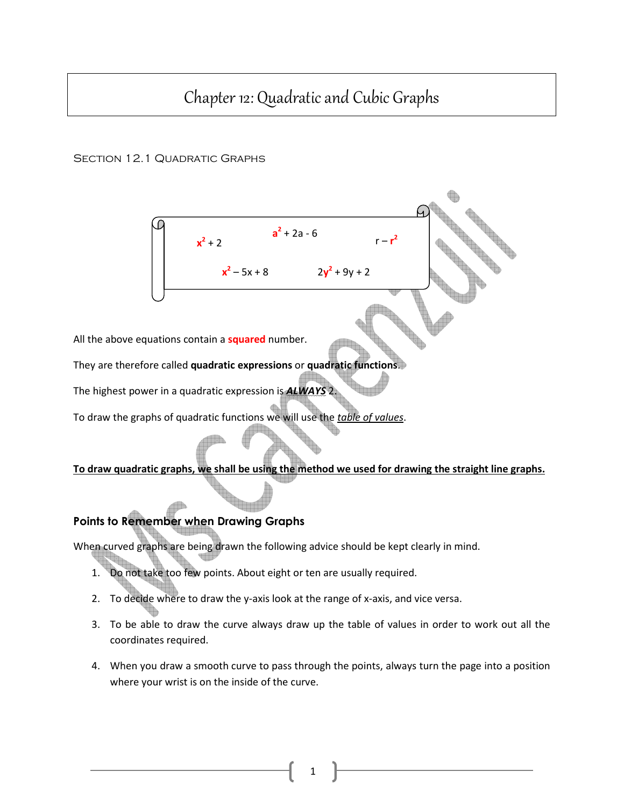# Chapter 12: Quadratic and Cubic Graphs

## SECTION 12.1 QUADRATIC GRAPHS



All the above equations contain a **squared** number.

They are therefore called quadratic expressions or quadratic functions.

The highest power in a quadratic expression is **ALWAYS** 2

To draw the graphs of quadratic functions we will use the table of values.

## To draw quadratic graphs, we shall be using the method we used for drawing the straight line graphs.

# Points to Remember when Drawing Graphs

When curved graphs are being drawn the following advice should be kept clearly in mind.

- 1. Do not take too few points. About eight or ten are usually required.
- 2. To decide where to draw the y-axis look at the range of x-axis, and vice versa.
- 3. To be able to draw the curve always draw up the table of values in order to work out all the coordinates required.
- 4. When you draw a smooth curve to pass through the points, always turn the page into a position where your wrist is on the inside of the curve.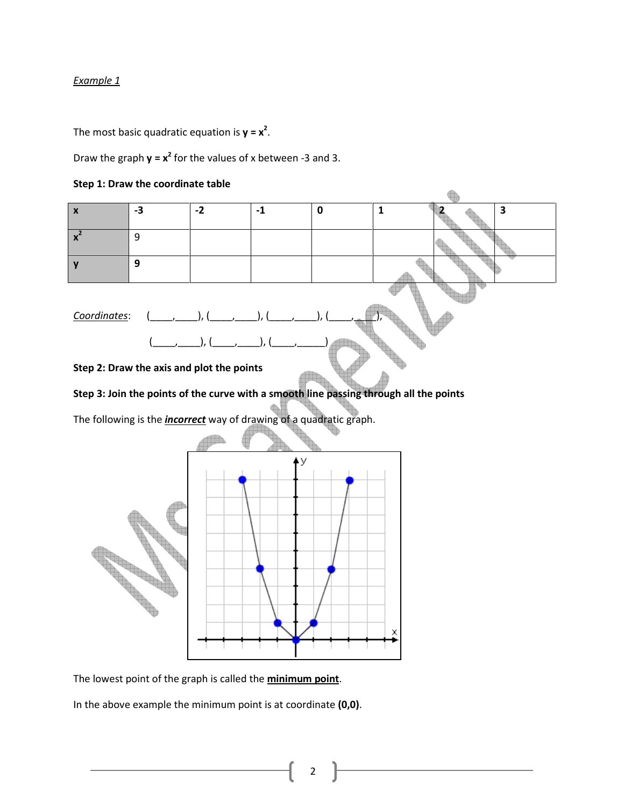The most basic quadratic equation is  $y = x^2$ .

Draw the graph  $y = x^2$  for the values of x between -3 and 3.





The lowest point of the graph is called the **minimum point**.

In the above example the minimum point is at coordinate (0,0).

2

X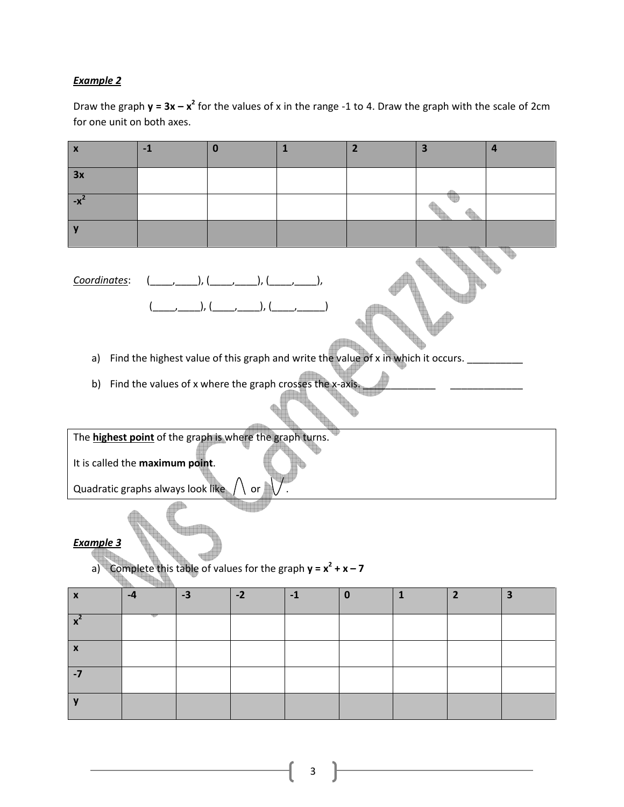Draw the graph  $y = 3x - x^2$  for the values of x in the range -1 to 4. Draw the graph with the scale of 2cm for one unit on both axes.

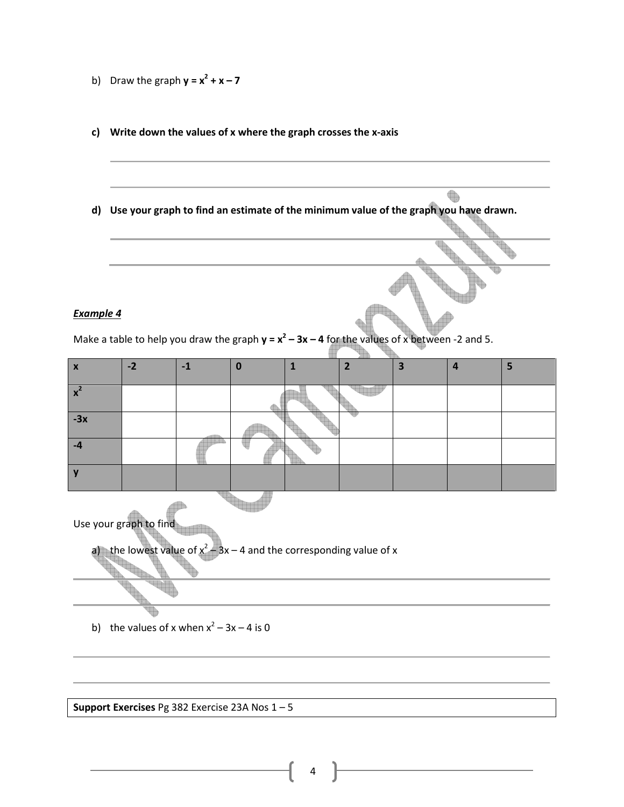- b) Draw the graph  $y = x^2 + x 7$
- c) Write down the values of x where the graph crosses the x-axis
- d) Use your graph to find an estimate of the minimum value of the graph you have drawn.

 $\begin{picture}(220,20) \put(0,0){\line(1,0){10}} \put(15,0){\line(1,0){10}} \put(15,0){\line(1,0){10}} \put(15,0){\line(1,0){10}} \put(15,0){\line(1,0){10}} \put(15,0){\line(1,0){10}} \put(15,0){\line(1,0){10}} \put(15,0){\line(1,0){10}} \put(15,0){\line(1,0){10}} \put(15,0){\line(1,0){10}} \put(15,0){\line(1,0){10}} \put(15,0){\line($ 

#### Example 4

Make a table to help you draw the graph  $y = x^2 - 3x - 4$  for the values of x between -2 and 5.

| <b>X</b> | $-2$ | -1 | o |  | ь | s. |
|----------|------|----|---|--|---|----|
|          |      |    |   |  |   |    |
|          |      |    |   |  |   |    |
| $-3x$    |      |    |   |  |   |    |
|          |      |    |   |  |   |    |
|          |      |    |   |  |   |    |

Use your graph to find

a) the lowest value of  $x^2$  $-3x - 4$  and the corresponding value of x

b) the values of x when  $x^2 - 3x - 4$  is 0

Support Exercises Pg 382 Exercise 23A Nos 1 – 5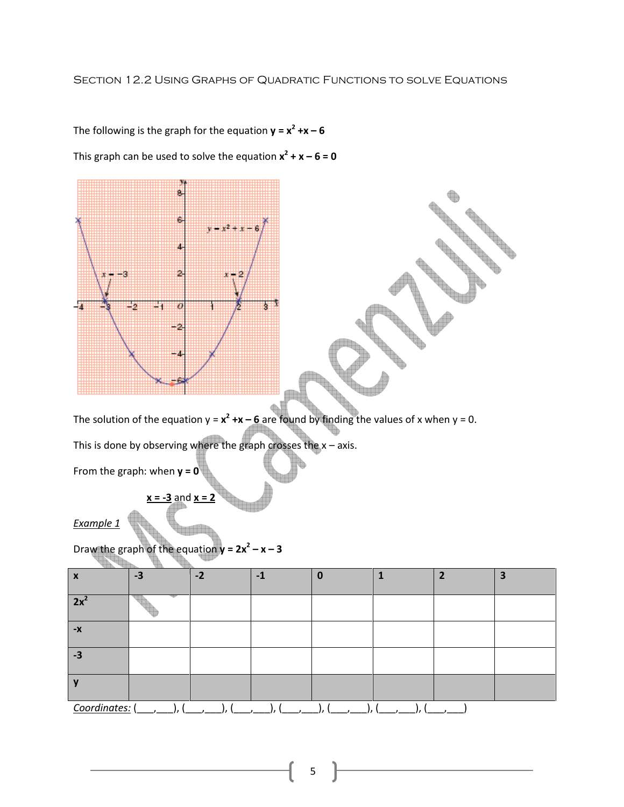## Section 12.2 Using Graphs of Quadratic Functions to solve Equations



The following is the graph for the equation  $y = x^2 + x - 6$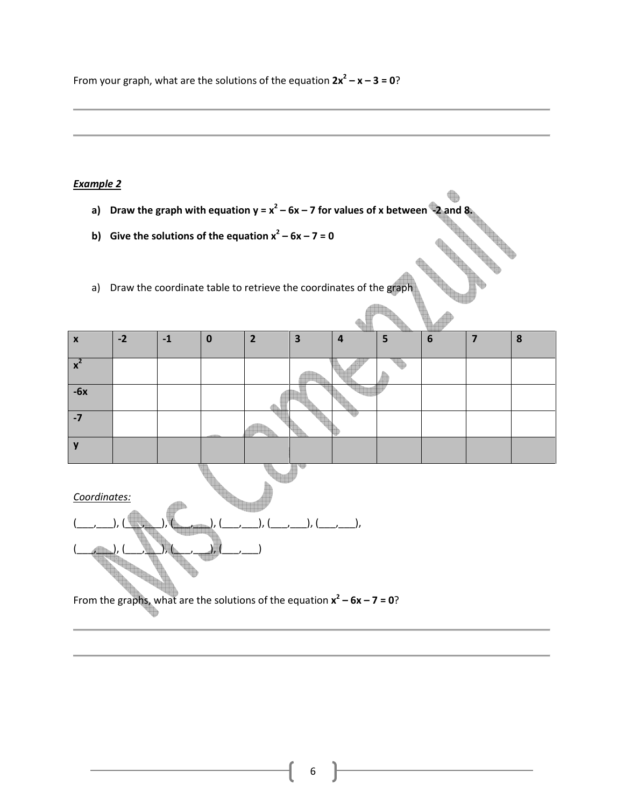From your graph, what are the solutions of the equation  $2x^2 - x - 3 = 0$ ?

## Example 2

- a) Draw the graph with equation  $y = x^2 6x 7$  for values of x between  $-2$  and 8.
- b) Give the solutions of the equation  $x^2 6x 7 = 0$
- a) Draw the coordinate table to retrieve the coordinates of the graph

| $-2$<br>$6\phantom{1}6$<br>5<br>2<br>o<br>-1<br>0<br>ю<br>$\boldsymbol{\mathsf{x}}$<br>4<br>$\bullet$<br>5<br>ж<br>$-6x$<br>-7 |  |  |  |  |  |  |
|--------------------------------------------------------------------------------------------------------------------------------|--|--|--|--|--|--|
|                                                                                                                                |  |  |  |  |  |  |
|                                                                                                                                |  |  |  |  |  |  |
|                                                                                                                                |  |  |  |  |  |  |
|                                                                                                                                |  |  |  |  |  |  |
|                                                                                                                                |  |  |  |  |  |  |

Coordinates:



From the graphs, what are the solutions of the equation  $x^2 - 6x - 7 = 0$ ?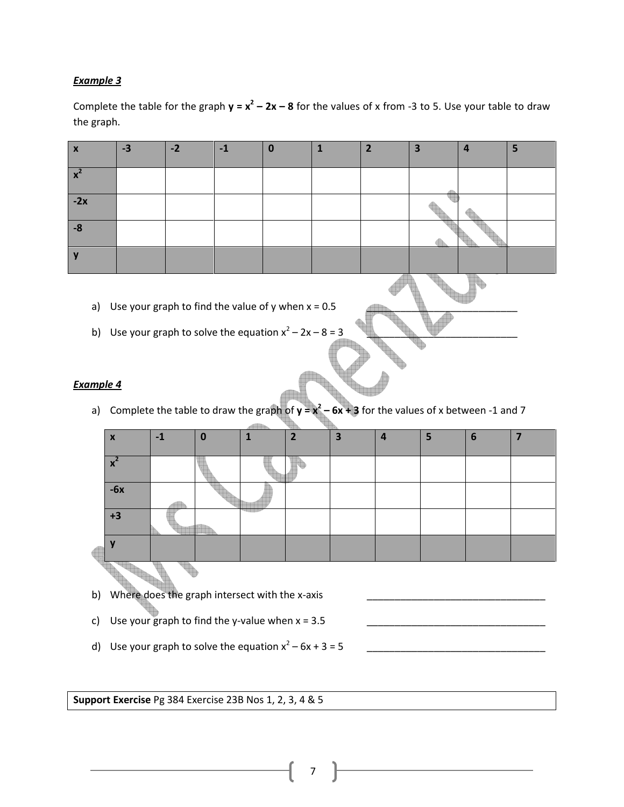Complete the table for the graph  $y = x^2 - 2x - 8$  for the values of x from -3 to 5. Use your table to draw the graph.

| $\mathbf{v}$<br>$\boldsymbol{\mathsf{A}}$ | $-3$ | $-2$ | $-1$ | 0 | ∍ | 3 | ь |
|-------------------------------------------|------|------|------|---|---|---|---|
| $\mathbf{\mathcal{L}}$                    |      |      |      |   |   |   |   |
| $-2x$                                     |      |      |      |   |   |   |   |
| $-8$                                      |      |      |      |   |   |   |   |
|                                           |      |      |      |   |   |   |   |

- a) Use your graph to find the value of y when  $x = 0.5$
- b) Use your graph to solve the equation  $x^2 2x 8 = 3$

### Example 4

a) Complete the table to draw the graph of  $y = x^2 - 6x + 3$  for the values of x between -1 and 7

| X                     | -1 |  | $\overline{\phantom{a}}$ | 3 | 4 | 6 |  |
|-----------------------|----|--|--------------------------|---|---|---|--|
|                       |    |  |                          |   |   |   |  |
| $\mathbf{\mathbf{v}}$ |    |  |                          |   |   |   |  |
| $-6x$                 |    |  |                          |   |   |   |  |
| +3                    |    |  |                          |   |   |   |  |
|                       |    |  |                          |   |   |   |  |
|                       |    |  |                          |   |   |   |  |

- b) Where does the graph intersect with the x-axis
- c) Use your graph to find the y-value when  $x = 3.5$
- d) Use your graph to solve the equation x<sup>2</sup> – 6x + 3 = 5 \_\_\_\_\_\_\_\_\_\_\_\_\_\_\_\_\_\_\_\_\_\_\_\_\_\_\_\_\_\_\_\_

Support Exercise Pg 384 Exercise 23B Nos 1, 2, 3, 4 & 5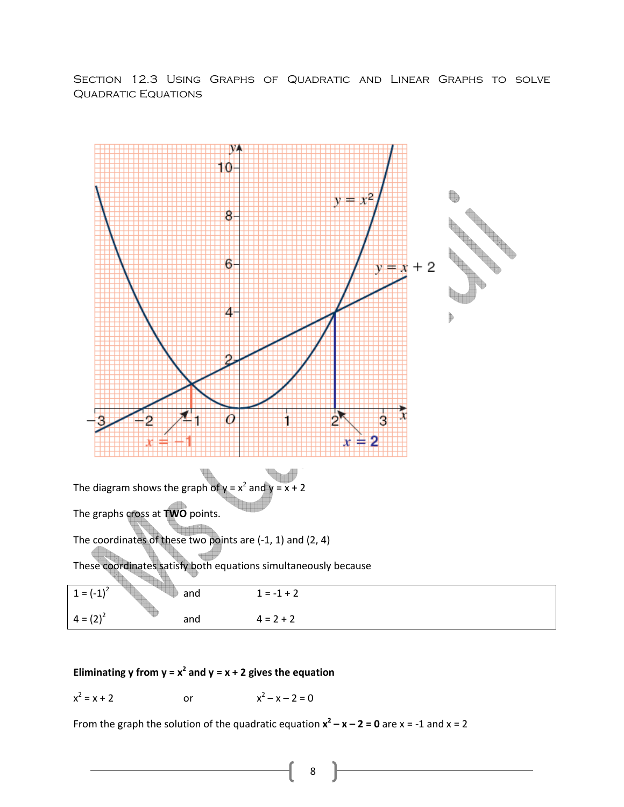Section 12.3 Using Graphs of Quadratic and Linear Graphs to solve QUADRATIC EQUATIONS



## Eliminating y from  $y = x^2$  and  $y = x + 2$  gives the equation

$$
x^2 = x + 2
$$
 or  $x^2 - x - 2 = 0$ 

From the graph the solution of the quadratic equation  $x^2 - x - 2 = 0$  are  $x = -1$  and  $x = 2$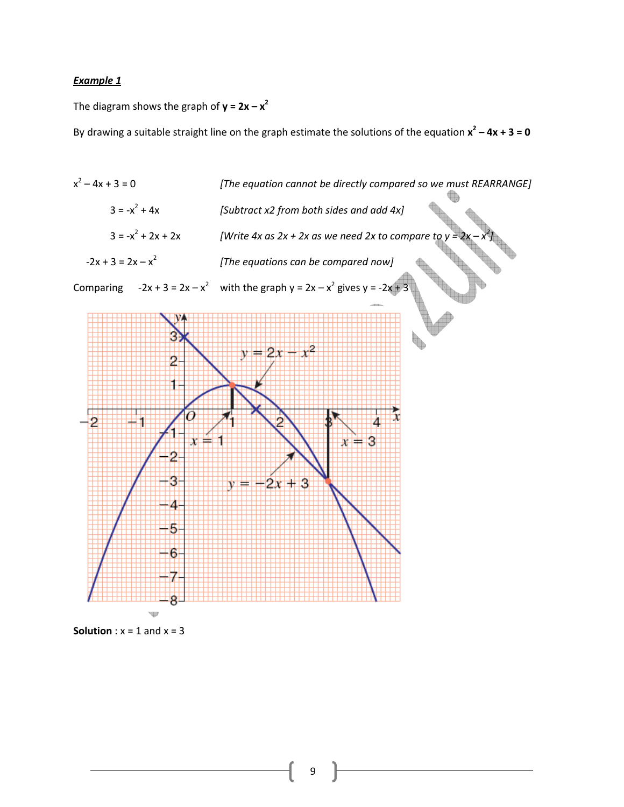The diagram shows the graph of  $y = 2x - x^2$ 

By drawing a suitable straight line on the graph estimate the solutions of the equation  $x^2 - 4x + 3 = 0$ 



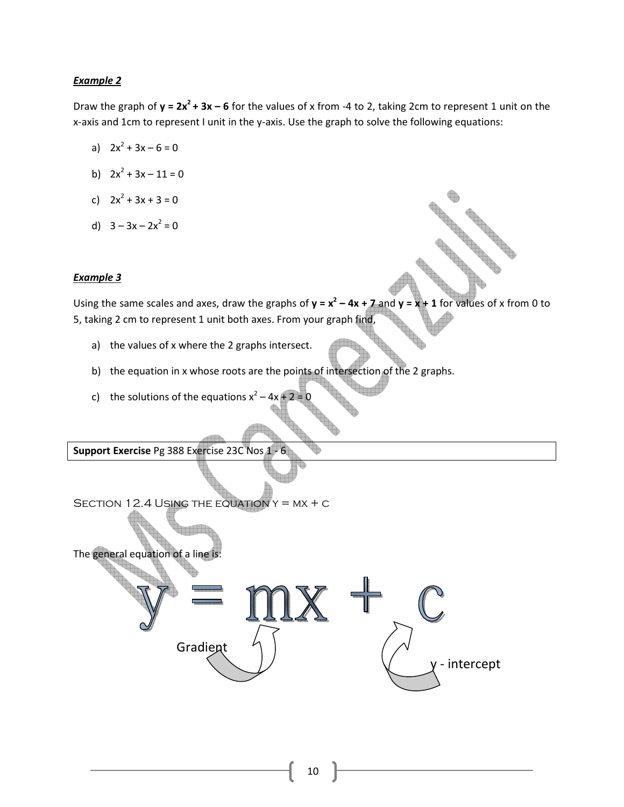Draw the graph of  $y = 2x^2 + 3x - 6$  for the values of x from -4 to 2, taking 2cm to represent 1 unit on the x-axis and 1cm to represent I unit in the y-axis. Use the graph to solve the following equations:

- a)  $2x^2 + 3x 6 = 0$
- b)  $2x^2 + 3x 11 = 0$
- c)  $2x^2 + 3x + 3 = 0$
- d)  $3 3x 2x^2 = 0$

#### Example 3

Using the same scales and axes, draw the graphs of  $y = x^2 - 4x + 7$  and  $y = x + 1$  for values of x from 0 to 5, taking 2 cm to represent 1 unit both axes. From your graph find,

- a) the values of x where the 2 graphs intersect.
- b) the equation in x whose roots are the points of intersection of the 2 graphs.
- c) the solutions of the equations  $x^2 4x + 2 = 0$

Support Exercise Pg 388 Exercise 23C Nos 1

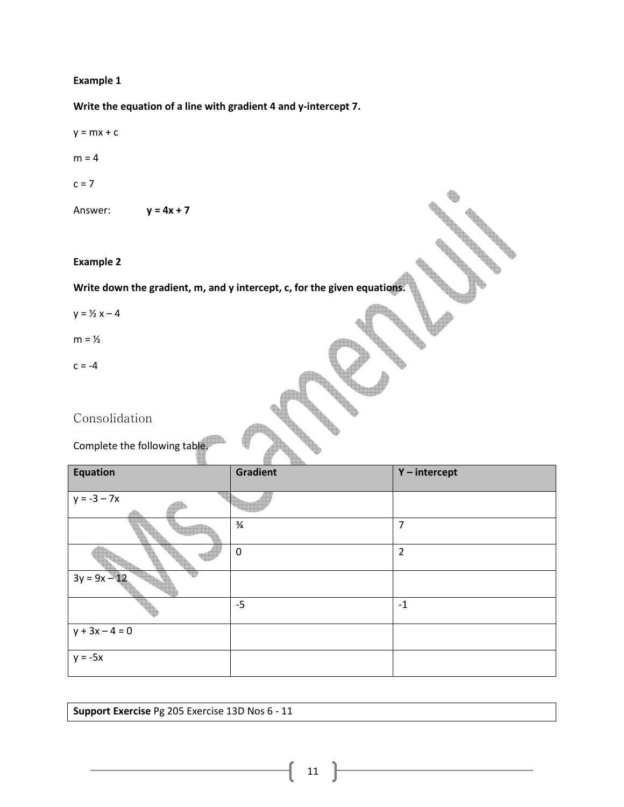Write the equation of a line with gradient 4 and y-intercept 7.

- $y = mx + c$
- $m = 4$

 $c = 7$ 

Answer:  $y = 4x + 7$ 

#### Example 2

Write down the gradient, m, and y intercept, c, for the given equations.

- $y = \frac{1}{2}x 4$
- $m = \frac{1}{2}$
- $c = -4$

Consolidation

Complete the following table.

| Equation         | <b>Gradient</b> | Y-intercept    |
|------------------|-----------------|----------------|
| $y = -3 - 7x$    |                 |                |
|                  | $\frac{3}{4}$   | 7              |
|                  | $\mathbf 0$     | $\overline{2}$ |
| $3y = 9x - 12$   |                 |                |
|                  | $-5$            | $-1$           |
| $y + 3x - 4 = 0$ |                 |                |
| $y = -5x$        |                 |                |

Support Exercise Pg 205 Exercise 13D Nos 6 - 11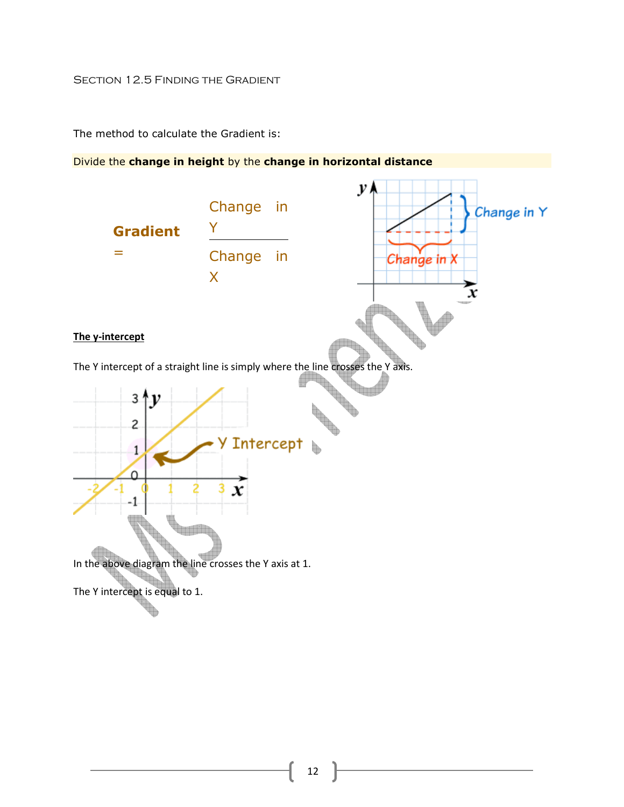## SECTION 12.5 FINDING THE GRADIENT

The method to calculate the Gradient is:

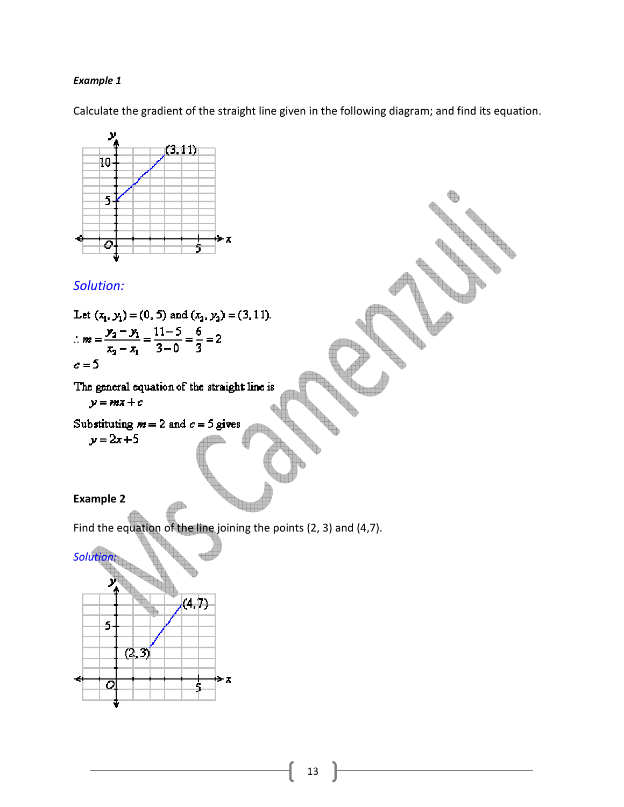Calculate the gradient of the straight line given in the following diagram; and find its equation.



# Solution:

Let 
$$
(x_1, y_1) = (0, 5)
$$
 and  $(x_2, y_2) = (3, 11)$ .  
\n
$$
\therefore m = \frac{y_2 - y_1}{x_2 - x_1} = \frac{11 - 5}{3 - 0} = \frac{6}{3} = 2
$$
\n
$$
c = 5
$$

The general equation of the straight line is

 $y = mx + c$ 

Substituting 
$$
m = 2
$$
 and  $c = 5$  gives

 $y = 2x + 5$ 

## Example 2

Find the equation of the line joining the points (2, 3) and (4,7).



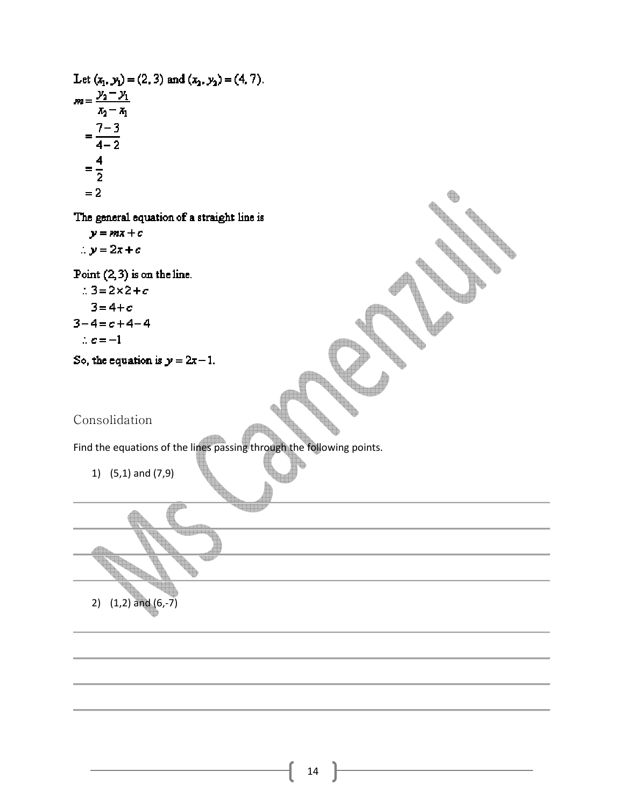Let 
$$
(x_1, y_1) = (2, 3)
$$
 and  $(x_2, y_2) = (4, 7)$ .  
\n
$$
m = \frac{y_2 - y_1}{x_2 - x_1}
$$
\n
$$
= \frac{7 - 3}{4 - 2}
$$
\n
$$
= \frac{4}{2}
$$
\n
$$
= 2
$$

The general equation of a straight line is

 $y = mx + c$  $\therefore y = 2x + c$ 

Point  $(2,3)$  is on the line.

 $\therefore 3 = 2 \times 2 + c$ 

$$
3 = 4 + c
$$

$$
3-4=c+4-4
$$

$$
\therefore c = -1
$$

So, the equation is  $y = 2x - 1$ .

# Consolidation

Find the equations of the lines passing through the following points.

1) (5,1) and (7,9)



**Contract of the Contract of the Contract of the Contract of the Contract of the Contract of The Contract of the Contract of The Contract of The Contract of The Contract of The Contract of The Contract of The Contract of T**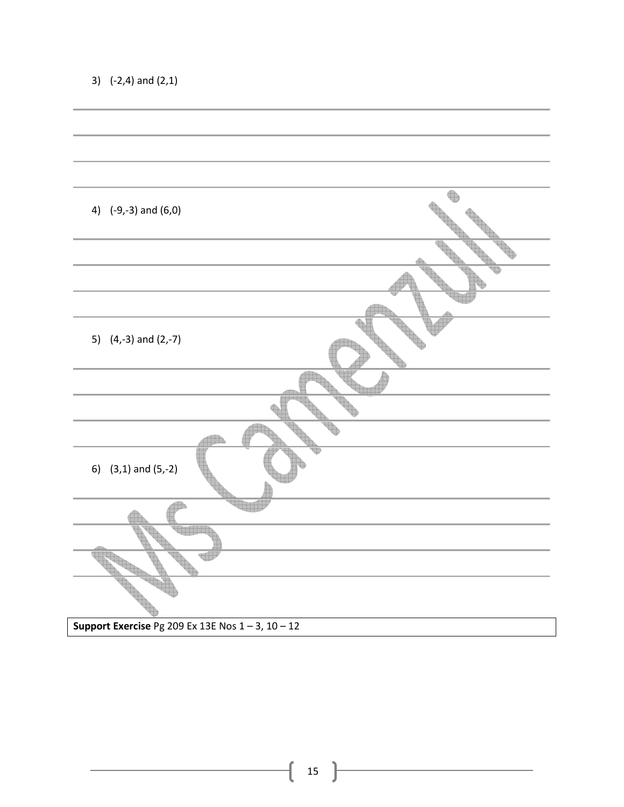| 4) $(-9,-3)$ and $(6,0)$                               |  |
|--------------------------------------------------------|--|
|                                                        |  |
|                                                        |  |
|                                                        |  |
|                                                        |  |
|                                                        |  |
|                                                        |  |
| 5) $(4,-3)$ and $(2,-7)$                               |  |
|                                                        |  |
|                                                        |  |
|                                                        |  |
|                                                        |  |
|                                                        |  |
| 6) $(3,1)$ and $(5,-2)$                                |  |
|                                                        |  |
|                                                        |  |
|                                                        |  |
|                                                        |  |
|                                                        |  |
|                                                        |  |
|                                                        |  |
|                                                        |  |
|                                                        |  |
| Support Exercise Pg 209 Ex 13E Nos $1 - 3$ , $10 - 12$ |  |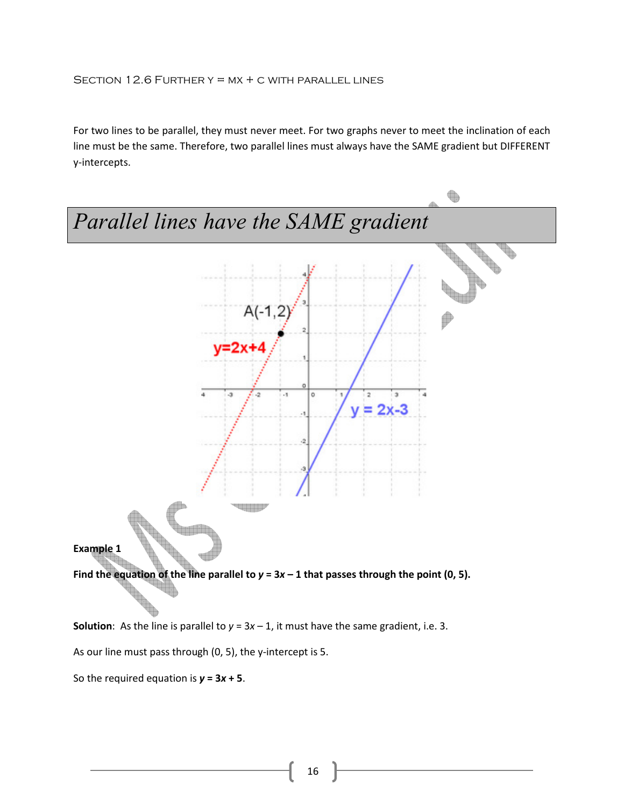For two lines to be parallel, they must never meet. For two graphs never to meet the inclination of each line must be the same. Therefore, two parallel lines must always have the SAME gradient but DIFFERENT y-intercepts.



**Solution:** As the line is parallel to  $y = 3x - 1$ , it must have the same gradient, i.e. 3.

As our line must pass through (0, 5), the y-intercept is 5.

So the required equation is  $y = 3x + 5$ .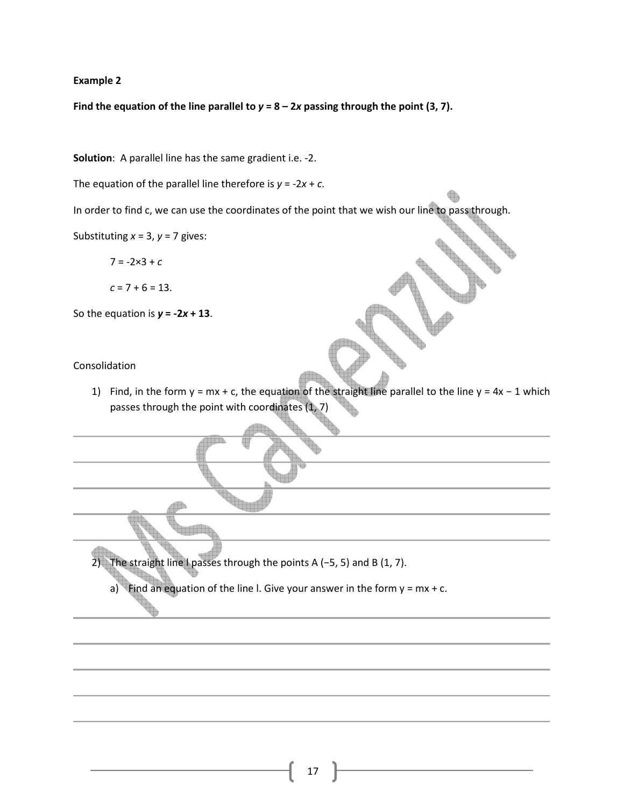Find the equation of the line parallel to  $y = 8 - 2x$  passing through the point (3, 7).

Solution: A parallel line has the same gradient i.e. -2.

The equation of the parallel line therefore is  $y = -2x + c$ .

In order to find c, we can use the coordinates of the point that we wish our line to pass through.

Substituting  $x = 3$ ,  $y = 7$  gives:

 $7 = -2 \times 3 + c$ 

$$
c = 7 + 6 = 13.
$$

So the equation is  $y = -2x + 13$ .

#### Consolidation

1) Find, in the form y = mx + c, the equation of the straight line parallel to the line y = 4x − 1 which passes through the point with coordinates (1, 7)

2) The straight line I passes through the points A (-5, 5) and B (1, 7).

a) Find an equation of the line I. Give your answer in the form  $y = mx + c$ .